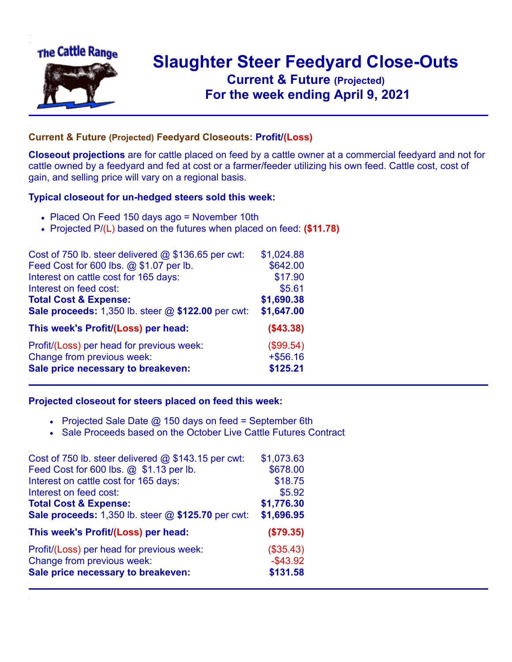

## **Slaughter Steer Feedyard Close-Outs Current & Future (Projected)** .**For the week ending April 9, 2021**

## **Current & Future (Projected) Feedyard Closeouts: Profit/(Loss)**

**Closeout projections** are for cattle placed on feed by a cattle owner at a commercial feedyard and not for cattle owned by a feedyard and fed at cost or a farmer/feeder utilizing his own feed. Cattle cost, cost of gain, and selling price will vary on a regional basis.

## **Typical closeout for un-hedged steers sold this week:**

- Placed On Feed 150 days ago = November 10th
- Projected P/(L) based on the futures when placed on feed: **(\$11.78)**

| Cost of 750 lb. steer delivered $@$ \$136.65 per cwt: | \$1,024.88 |
|-------------------------------------------------------|------------|
| Feed Cost for 600 lbs. @ \$1.07 per lb.               | \$642.00   |
| Interest on cattle cost for 165 days:                 | \$17.90    |
| Interest on feed cost:                                | \$5.61     |
| <b>Total Cost &amp; Expense:</b>                      | \$1,690.38 |
| Sale proceeds: 1,350 lb. steer @ \$122.00 per cwt:    | \$1,647.00 |
| This week's Profit/(Loss) per head:                   | ( \$43.38) |
| Profit/(Loss) per head for previous week:             | (\$99.54)  |
| Change from previous week:                            | $+ $56.16$ |
| Sale price necessary to breakeven:                    | \$125.21   |

## **Projected closeout for steers placed on feed this week:**

- Projected Sale Date  $@$  150 days on feed = September 6th
- Sale Proceeds based on the October Live Cattle Futures Contract

| Cost of 750 lb. steer delivered $@$ \$143.15 per cwt: | \$1,073.63  |
|-------------------------------------------------------|-------------|
| Feed Cost for 600 lbs. @ \$1.13 per lb.               | \$678.00    |
| Interest on cattle cost for 165 days:                 | \$18.75     |
| Interest on feed cost:                                | \$5.92      |
| <b>Total Cost &amp; Expense:</b>                      | \$1,776.30  |
| Sale proceeds: 1,350 lb. steer @ \$125.70 per cwt:    | \$1,696.95  |
| This week's Profit/(Loss) per head:                   | (\$79.35)   |
| Profit/(Loss) per head for previous week:             | (\$35.43)   |
| Change from previous week:                            | $-$ \$43.92 |
| Sale price necessary to breakeven:                    | \$131.58    |